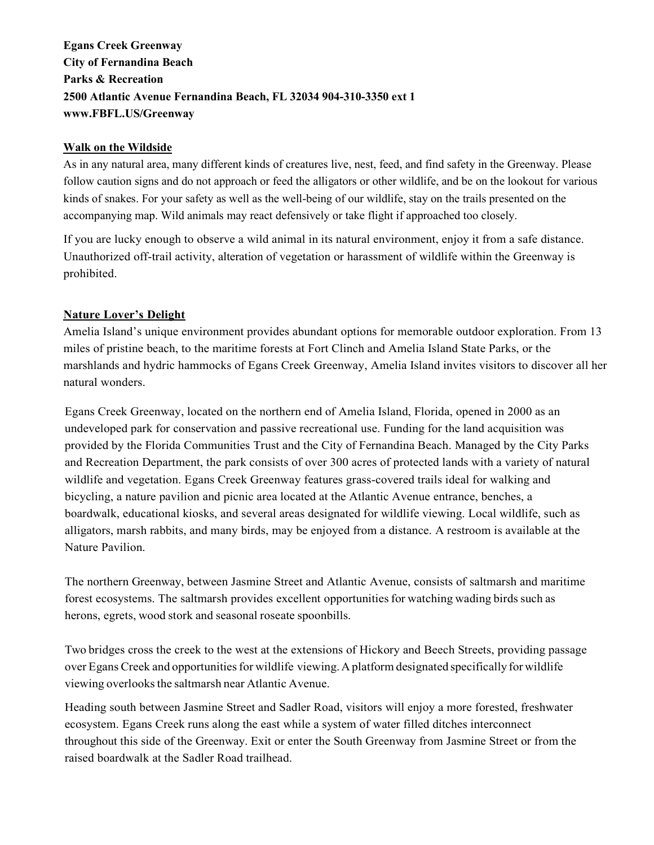Egans Creek Greenway City of Fernandina Beach Parks & Recreation 2500 Atlantic Avenue Fernandina Beach, FL 32034 904-310-3350 ext 1 www.FBFL.US/Greenway

## Walk on the Wildside

As in any natural area, many different kinds of creatures live, nest, feed, and find safety in the Greenway. Please follow caution signs and do not approach or feed the alligators or other wildlife, and be on the lookout for various kinds of snakes. For your safety as well as the well-being of our wildlife, stay on the trails presented on the accompanying map. Wild animals may react defensively or take flight if approached too closely.

If you are lucky enough to observe a wild animal in its natural environment, enjoy it from a safe distance. Unauthorized off-trail activity, alteration of vegetation or harassment of wildlife within the Greenway is prohibited.

## Nature Lover's Delight

Amelia Island's unique environment provides abundant options for memorable outdoor exploration. From 13 miles of pristine beach, to the maritime forests at Fort Clinch and Amelia Island State Parks, or the marshlands and hydric hammocks of Egans Creek Greenway, Amelia Island invites visitors to discover all her natural wonders.

Egans Creek Greenway, located on the northern end of Amelia Island, Florida, opened in 2000 as an undeveloped park for conservation and passive recreational use. Funding for the land acquisition was provided by the Florida Communities Trust and the City of Fernandina Beach. Managed by the City Parks and Recreation Department, the park consists of over 300 acres of protected lands with a variety of natural wildlife and vegetation. Egans Creek Greenway features grass-covered trails ideal for walking and bicycling, a nature pavilion and picnic area located at the Atlantic Avenue entrance, benches, a boardwalk, educational kiosks, and several areas designated for wildlife viewing. Local wildlife, such as alligators, marsh rabbits, and many birds, may be enjoyed from a distance. A restroom is available at the Nature Pavilion.

The northern Greenway, between Jasmine Street and Atlantic Avenue, consists of saltmarsh and maritime forest ecosystems. The saltmarsh provides excellent opportunities for watching wading birds such as herons, egrets, wood stork and seasonal roseate spoonbills.

Two bridges cross the creek to the west at the extensions of Hickory and Beech Streets, providing passage over Egans Creek and opportunities for wildlife viewing. A platform designated specifically for wildlife viewing overlooks the saltmarsh near Atlantic Avenue.

Heading south between Jasmine Street and Sadler Road, visitors will enjoy a more forested, freshwater ecosystem. Egans Creek runs along the east while a system of water filled ditches interconnect throughout this side of the Greenway. Exit or enter the South Greenway from Jasmine Street or from the raised boardwalk at the Sadler Road trailhead.